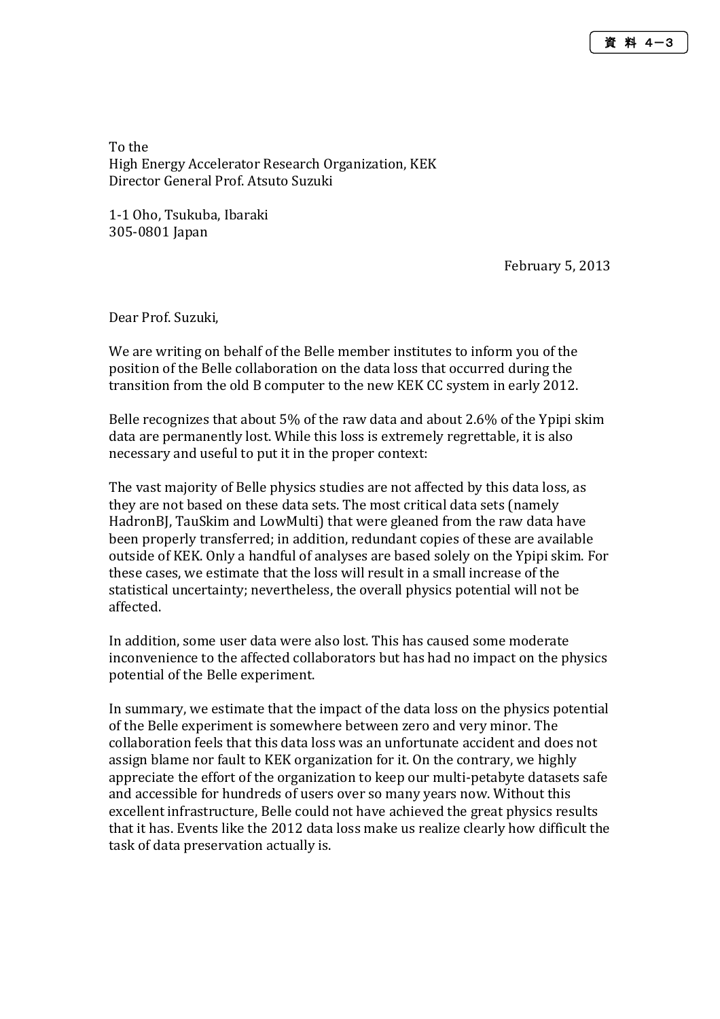To the High Energy Accelerator Research Organization, KEK Director General Prof. Atsuto Suzuki

1-1 Oho, Tsukuba, Ibaraki 305-0801 Japan

February 5, 2013

Dear Prof. Suzuki,

We are writing on behalf of the Belle member institutes to inform you of the position of the Belle collaboration on the data loss that occurred during the transition from the old B computer to the new KEK CC system in early 2012.

Belle recognizes that about 5% of the raw data and about 2.6% of the Ypipi skim data are permanently lost. While this loss is extremely regrettable, it is also necessary and useful to put it in the proper context:

The vast majority of Belle physics studies are not affected by this data loss, as they are not based on these data sets. The most critical data sets (namely HadronBJ, TauSkim and LowMulti) that were gleaned from the raw data have been properly transferred; in addition, redundant copies of these are available outside of KEK. Only a handful of analyses are based solely on the Ypipi skim. For these cases, we estimate that the loss will result in a small increase of the statistical uncertainty; nevertheless, the overall physics potential will not be affected.

In addition, some user data were also lost. This has caused some moderate inconvenience to the affected collaborators but has had no impact on the physics potential of the Belle experiment.

In summary, we estimate that the impact of the data loss on the physics potential of the Belle experiment is somewhere between zero and very minor. The collaboration feels that this data loss was an unfortunate accident and does not assign blame nor fault to KEK organization for it. On the contrary, we highly appreciate the effort of the organization to keep our multi-petabyte datasets safe and accessible for hundreds of users over so many years now. Without this excellent infrastructure, Belle could not have achieved the great physics results that it has. Events like the 2012 data loss make us realize clearly how difficult the task of data preservation actually is.